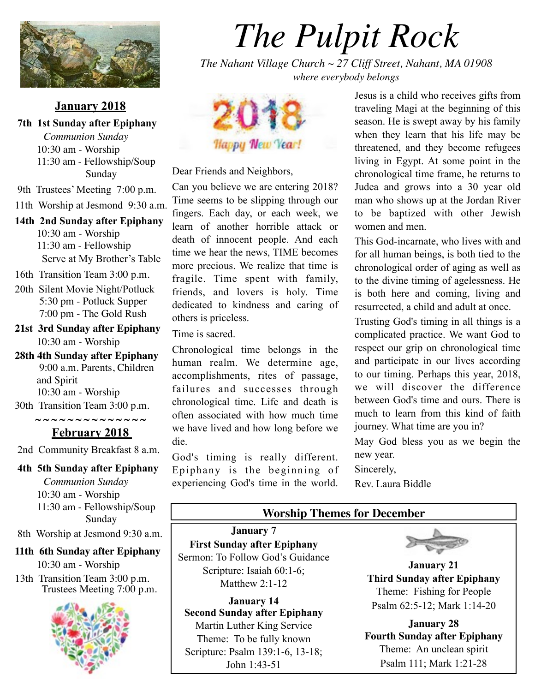

#### **January 2018**

 **7th 1st Sunday after Epiphany** *Communion Sunday* 10:30 am - Worship 11:30 am - Fellowship/Soup Sunday

9th Trustees' Meeting 7:00 p.m.

- 11th Worship at Jesmond 9:30 a.m.
- **14th 2nd Sunday after Epiphany** 10:30 am - Worship 11:30 am - Fellowship Serve at My Brother's Table
- 16th Transition Team 3:00 p.m.
- 20th Silent Movie Night/Potluck 5:30 pm - Potluck Supper 7:00 pm - The Gold Rush
- **21st 3rd Sunday after Epiphany** 10:30 am - Worship
- **28th 4th Sunday after Epiphany**  9:00 a.m. Parents, Children and Spirit 10:30 am - Worship

30th Transition Team 3:00 p.m.

**~ ~ ~ ~ ~ ~ ~ ~ ~ ~ ~ ~ ~ ~**

## **February 2018**

2nd Community Breakfast 8 a.m.

 **4th 5th Sunday after Epiphany** *Communion Sunday* 10:30 am - Worship 11:30 am - Fellowship/Soup

 Sunday

8th Worship at Jesmond 9:30 a.m.

#### **11th 6th Sunday after Epiphany** 10:30 am - Worship

 13th Transition Team 3:00 p.m. Trustees Meeting 7:00 p.m.



# *The Pulpit Rock*

*The Nahant Village Church ~ 27 Cliff Street, Nahant, MA 01908 where everybody belongs*



Dear Friends and Neighbors,

Can you believe we are entering 2018? Time seems to be slipping through our fingers. Each day, or each week, we learn of another horrible attack or death of innocent people. And each time we hear the news, TIME becomes more precious. We realize that time is fragile. Time spent with family, friends, and lovers is holy. Time dedicated to kindness and caring of others is priceless.

Time is sacred.

Chronological time belongs in the human realm. We determine age, accomplishments, rites of passage, failures and successes through chronological time. Life and death is often associated with how much time we have lived and how long before we die.

God's timing is really different. Epiphany is the beginning of experiencing God's time in the world.

Jesus is a child who receives gifts from traveling Magi at the beginning of this season. He is swept away by his family when they learn that his life may be threatened, and they become refugees living in Egypt. At some point in the chronological time frame, he returns to Judea and grows into a 30 year old man who shows up at the Jordan River to be baptized with other Jewish women and men.

This God-incarnate, who lives with and for all human beings, is both tied to the chronological order of aging as well as to the divine timing of agelessness. He is both here and coming, living and resurrected, a child and adult at once.

Trusting God's timing in all things is a complicated practice. We want God to respect our grip on chronological time and participate in our lives according to our timing. Perhaps this year, 2018, we will discover the difference between God's time and ours. There is much to learn from this kind of faith journey. What time are you in?

May God bless you as we begin the new year.

Sincerely,

Rev. Laura Biddle

#### **Worship Themes for December**

**January 7 First Sunday after Epiphany** Sermon: To Follow God's Guidance Scripture: Isaiah 60:1-6; Matthew 2:1-12

**January 14 Second Sunday after Epiphany**  Martin Luther King Service Theme: To be fully known Scripture: Psalm 139:1-6, 13-18; John 1:43-51



**January 21 Third Sunday after Epiphany** Theme: Fishing for People Psalm 62:5-12; Mark 1:14-20

**January 28 Fourth Sunday after Epiphany** Theme: An unclean spirit Psalm 111; Mark 1:21-28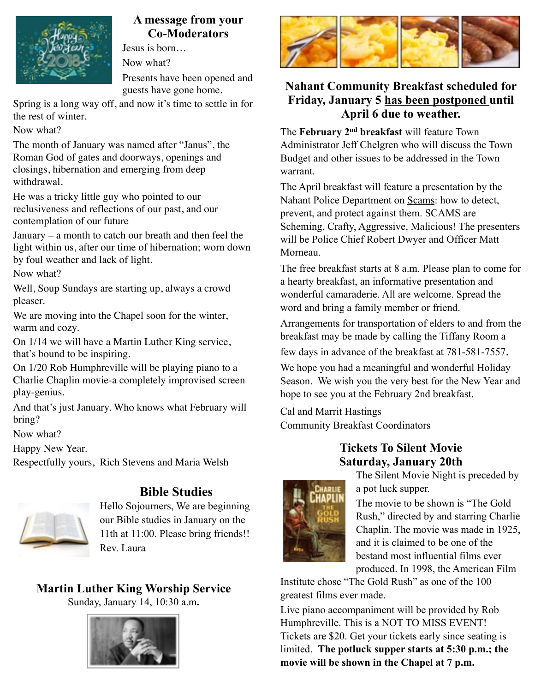

## **A message from your Co-Moderators**

Jesus is born… Now what? Presents have been opened and

guests have gone home.

Spring is a long way off, and now it's time to settle in for the rest of winter.

Now what?

The month of January was named after "Janus", the Roman God of gates and doorways, openings and closings, hibernation and emerging from deep withdrawal.

He was a tricky little guy who pointed to our reclusiveness and reflections of our past, and our contemplation of our future

January – a month to catch our breath and then feel the light within us, after our time of hibernation; worn down by foul weather and lack of light.

Now what?

Well, Soup Sundays are starting up, always a crowd pleaser.

We are moving into the Chapel soon for the winter, warm and cozy.

On 1/14 we will have a Martin Luther King service, that's bound to be inspiring.

On 1/20 Rob Humphreville will be playing piano to a Charlie Chaplin movie-a completely improvised screen play-genius.

And that's just January. Who knows what February will bring?

Now what?

Happy New Year.

Respectfully yours, Rich Stevens and Maria Welsh



# **Bible Studies**

Hello Sojourners, We are beginning our Bible studies in January on the 11th at 11:00. Please bring friends!! Rev. Laura

# **Martin Luther King Worship Service**

Sunday, January 14, 10:30 a.m**.**





# **Nahant Community Breakfast scheduled for Friday, January 5 has been postponed until April 6 due to weather.**

The **February 2nd breakfast** will feature Town Administrator Jeff Chelgren who will discuss the Town Budget and other issues to be addressed in the Town warrant.

The April breakfast will feature a presentation by the Nahant Police Department on Scams: how to detect, prevent, and protect against them. SCAMS are Scheming, Crafty, Aggressive, Malicious! The presenters will be Police Chief Robert Dwyer and Officer Matt Morneau.

The free breakfast starts at 8 a.m. Please plan to come for a hearty breakfast, an informative presentation and wonderful camaraderie. All are welcome. Spread the word and bring a family member or friend.

Arrangements for transportation of elders to and from the breakfast may be made by calling the Tiffany Room a few days in advance of the breakfast at 781-581-7557.

We hope you had a meaningful and wonderful Holiday Season. We wish you the very best for the New Year and hope to see you at the February 2nd breakfast.

Cal and Marrit Hastings Community Breakfast Coordinators

# **Tickets To Silent Movie Saturday, January 20th**



The Silent Movie Night is preceded by a pot luck supper.

The movie to be shown is "The Gold Rush," directed by and starring Charlie Chaplin. The movie was made in 1925, and it is claimed to be one of the bestand most influential films ever produced. In 1998, the American Film

Institute chose "The Gold Rush" as one of the 100 greatest films ever made.

Live piano accompaniment will be provided by Rob Humphreville. This is a NOT TO MISS EVENT! Tickets are \$20. Get your tickets early since seating is limited. **The potluck supper starts at 5:30 p.m.; the movie will be shown in the Chapel at 7 p.m.**